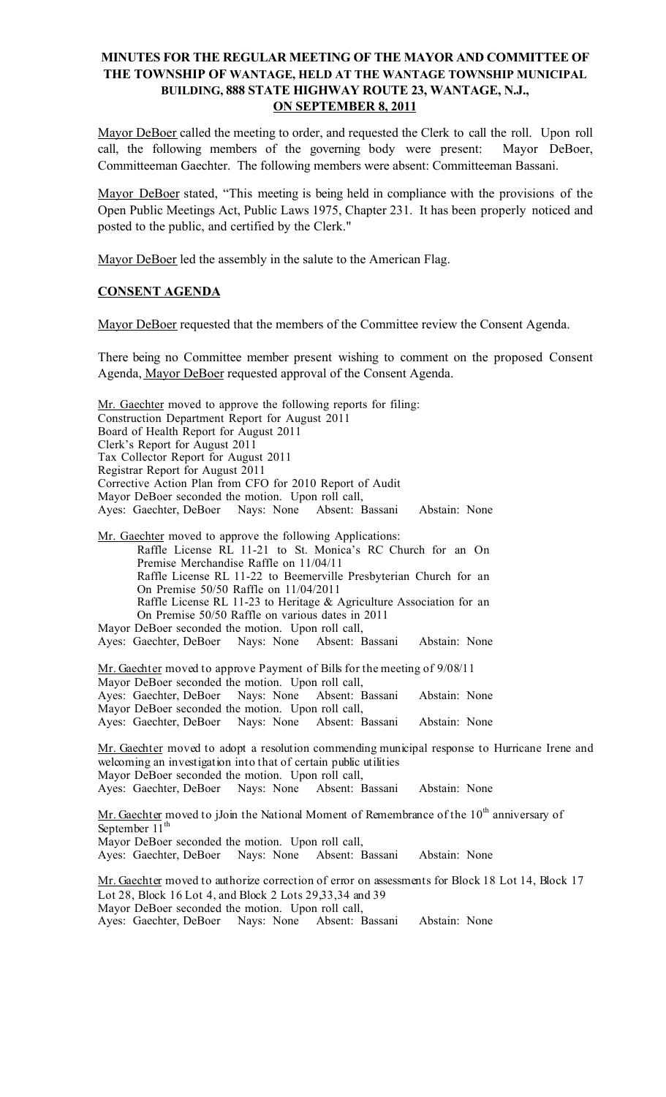# MINUTES FOR THE REGULAR MEETING OF THE MAYOR AND COMMITTEE OF THE TOWNSHIP OF WANTAGE, HELD AT THE WANTAGE TOWNSHIP MUNICIPAL BUILDING, 888 STATE HIGHWAY ROUTE 23, WANTAGE, N.J., ON SEPTEMBER 8, 2011

Mayor DeBoer called the meeting to order, and requested the Clerk to call the roll. Upon roll call, the following members of the governing body were present: Mayor DeBoer, Committeeman Gaechter. The following members were absent: Committeeman Bassani.

Mayor DeBoer stated, "This meeting is being held in compliance with the provisions of the Open Public Meetings Act, Public Laws 1975, Chapter 231. It has been properly noticed and posted to the public, and certified by the Clerk."

Mayor DeBoer led the assembly in the salute to the American Flag.

# CONSENT AGENDA

Mayor DeBoer requested that the members of the Committee review the Consent Agenda.

There being no Committee member present wishing to comment on the proposed Consent Agenda, Mayor DeBoer requested approval of the Consent Agenda.

Mr. Gaechter moved to approve the following reports for filing: Construction Department Report for August 2011 Board of Health Report for August 2011 Clerk's Report for August 2011 Tax Collector Report for August 2011 Registrar Report for August 2011 Corrective Action Plan from CFO for 2010 Report of Audit Mayor DeBoer seconded the motion. Upon roll call, Ayes: Gaechter, DeBoer Nays: None Absent: Bassani Abstain: None Mr. Gaechter moved to approve the following Applications: Raffle License RL 11-21 to St. Monica's RC Church for an On Premise Merchandise Raffle on 11/04/11 Raffle License RL 11-22 to Beemerville Presbyterian Church for an On Premise 50/50 Raffle on 11/04/2011 Raffle License RL 11-23 to Heritage & Agriculture Association for an On Premise 50/50 Raffle on various dates in 2011 Mayor DeBoer seconded the motion. Upon roll call, Ayes: Gaechter, DeBoer Nays: None Absent: Bassani Abstain: None Mr. Gaechter moved to approve Payment of Bills for the meeting of 9/08/11 Mayor DeBoer seconded the motion. Upon roll call,<br>Ayes: Gaechter, DeBoer Nays: None Absent: Bassani Ayes: Gaechter, DeBoer Nays: None Absent: Bassani Abstain: None Mayor DeBoer seconded the motion. Upon roll call, Ayes: Gaechter, DeBoer Nays: None Absent: Bassani Abstain: None Mr. Gaechter moved to adopt a resolution commending municipal response to Hurricane Irene and welcoming an investigation into that of certain public utilities Mayor DeBoer seconded the motion. Upon roll call, Ayes: Gaechter, DeBoer Nays: None Absent: Bassani Abstain: None Mr. Gaechter moved to jJoin the National Moment of Remembrance of the 10<sup>th</sup> anniversary of September 11<sup>th</sup> Mayor DeBoer seconded the motion. Upon roll call, Ayes: Gaechter, DeBoer Nays: None Absent: Bassani Abstain: None Mr. Gaechter moved to authorize correction of error on assessments for Block 18 Lot 14, Block 17 Lot 28, Block 16 Lot 4, and Block 2 Lots 29,33,34 and 39 Mayor DeBoer seconded the motion. Upon roll call, Ayes: Gaechter, DeBoer Nays: None Absent: Bassani Abstain: None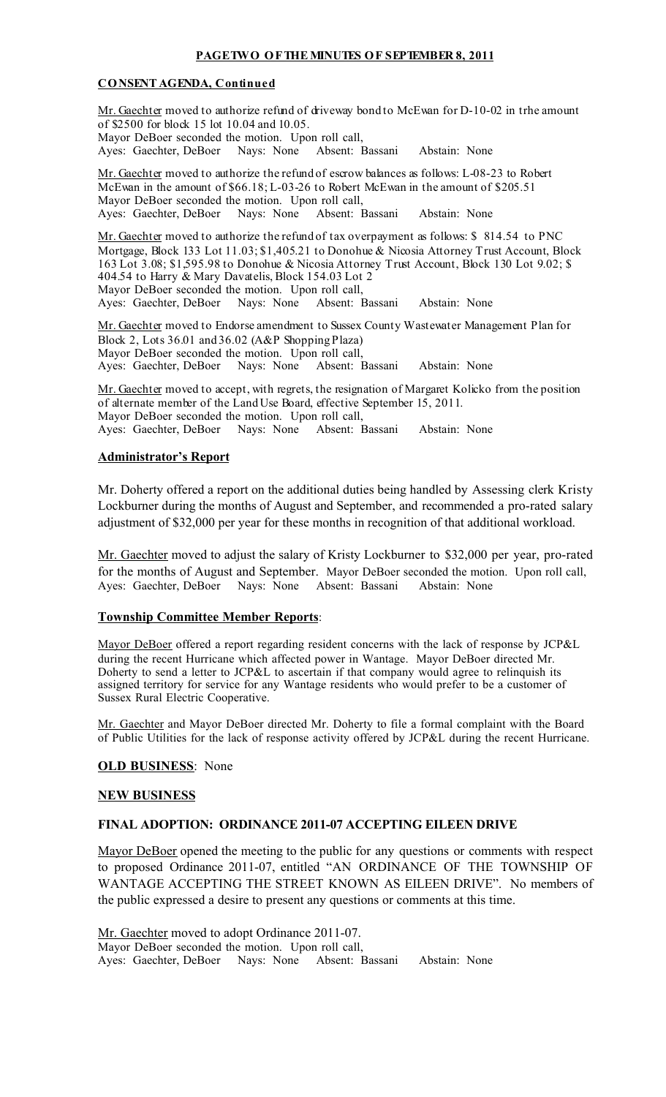## PAGETWO OF THE MINUTES OF SEPTEMBER 8, 2011

#### CONSENT AGENDA, Continued

Mr. Gaechter moved to authorize refund of driveway bond to McEwan for D-10-02 in trhe amount of \$2500 for block 15 lot 10.04 and 10.05. Mayor DeBoer seconded the motion. Upon roll call, Ayes: Gaechter, DeBoer Nays: None Absent: Bassani Abstain: None Mr. Gaechter moved to authorize the refund of escrow balances as follows: L-08-23 to Robert McEwan in the amount of \$66.18; L-03-26 to Robert McEwan in the amount of \$205.51 Mayor DeBoer seconded the motion. Upon roll call,<br>Ayes: Gaechter, DeBoer Nays: None Absent: Bassani Ayes: Gaechter, DeBoer Nays: None Absent: Bassani Abstain: None Mr. Gaechter moved to authorize the refund of tax overpayment as follows: \$814.54 to PNC Mortgage, Block 133 Lot 11.03; \$1,405.21 to Donohue & Nicosia Attorney Trust Account, Block 163 Lot 3.08; \$1,595.98 to Donohue & Nicosia Attorney Trust Account, Block 130 Lot 9.02; \$ 404.54 to Harry & Mary Davatelis, Block 154.03 Lot 2 Mayor DeBoer seconded the motion. Upon roll call, Ayes: Gaechter, DeBoer Nays: None Absent: Bassani Abstain: None Mr. Gaechter moved to Endorse amendment to Sussex County Wastewater Management Plan for Block 2, Lots 36.01 and 36.02 (A&P ShoppingPlaza) Mayor DeBoer seconded the motion. Upon roll call,<br>Ayes: Gaechter, DeBoer Nays: None Absent: I Ayes: Gaechter, DeBoer Nays: None Absent: Bassani Abstain: None Mr. Gaechter moved to accept, with regrets, the resignation of Margaret Kolicko from the position

of alternate member of the LandUse Board, effective September 15, 2011. Mayor DeBoer seconded the motion. Upon roll call, Ayes: Gaechter, DeBoer Nays: None Absent: Bassani Abstain: None

#### Administrator's Report

Mr. Doherty offered a report on the additional duties being handled by Assessing clerk Kristy Lockburner during the months of August and September, and recommended a pro-rated salary adjustment of \$32,000 per year for these months in recognition of that additional workload.

Mr. Gaechter moved to adjust the salary of Kristy Lockburner to \$32,000 per year, pro-rated for the months of August and September. Mayor DeBoer seconded the motion. Upon roll call, Ayes: Gaechter, DeBoer Nays: None Absent: Bassani Abstain: None

#### Township Committee Member Reports:

Mayor DeBoer offered a report regarding resident concerns with the lack of response by JCP&L during the recent Hurricane which affected power in Wantage. Mayor DeBoer directed Mr. Doherty to send a letter to JCP&L to ascertain if that company would agree to relinquish its assigned territory for service for any Wantage residents who would prefer to be a customer of Sussex Rural Electric Cooperative.

Mr. Gaechter and Mayor DeBoer directed Mr. Doherty to file a formal complaint with the Board of Public Utilities for the lack of response activity offered by JCP&L during the recent Hurricane.

#### **OLD BUSINESS:** None

#### NEW BUSINESS

#### FINAL ADOPTION: ORDINANCE 2011-07 ACCEPTING EILEEN DRIVE

Mayor DeBoer opened the meeting to the public for any questions or comments with respect to proposed Ordinance 2011-07, entitled "AN ORDINANCE OF THE TOWNSHIP OF WANTAGE ACCEPTING THE STREET KNOWN AS EILEEN DRIVE". No members of the public expressed a desire to present any questions or comments at this time.

Mr. Gaechter moved to adopt Ordinance 2011-07. Mayor DeBoer seconded the motion. Upon roll call, Ayes: Gaechter, DeBoer Nays: None Absent: Bassani Abstain: None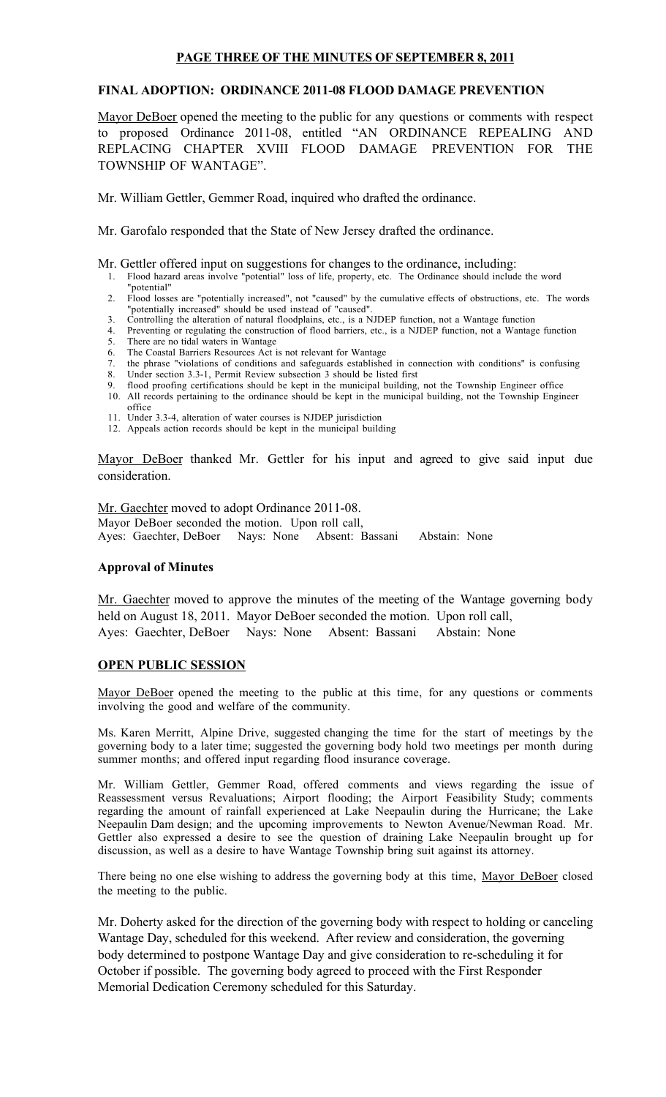## PAGE THREE OF THE MINUTES OF SEPTEMBER 8, 2011

## FINAL ADOPTION: ORDINANCE 2011-08 FLOOD DAMAGE PREVENTION

Mayor DeBoer opened the meeting to the public for any questions or comments with respect to proposed Ordinance 2011-08, entitled "AN ORDINANCE REPEALING AND REPLACING CHAPTER XVIII FLOOD DAMAGE PREVENTION FOR THE TOWNSHIP OF WANTAGE".

Mr. William Gettler, Gemmer Road, inquired who drafted the ordinance.

Mr. Garofalo responded that the State of New Jersey drafted the ordinance.

Mr. Gettler offered input on suggestions for changes to the ordinance, including:

- 1. Flood hazard areas involve "potential" loss of life, property, etc. The Ordinance should include the word "potential"
- 2. Flood losses are "potentially increased", not "caused" by the cumulative effects of obstructions, etc. The words "potentially increased" should be used instead of "caused". 3. Controlling the alteration of natural floodplains, etc., is a NJDEP function, not a Wantage function
- 
- 4. Preventing or regulating the construction of flood barriers, etc., is a NJDEP function, not a Wantage function 5. There are no tidal waters in Wantage
- 6. The Coastal Barriers Resources Act is not relevant for Wantage
- 7. the phrase "violations of conditions and safeguards established in connection with conditions" is confusing
- 8. Under section 3.3-1, Permit Review subsection 3 should be listed first
- flood proofing certifications should be kept in the municipal building, not the Township Engineer office 10. All records pertaining to the ordinance should be kept in the municipal building, not the Township Engineer office
- 11. Under 3.3-4, alteration of water courses is NJDEP jurisdiction
- 12. Appeals action records should be kept in the municipal building

Mayor DeBoer thanked Mr. Gettler for his input and agreed to give said input due consideration.

Mr. Gaechter moved to adopt Ordinance 2011-08. Mayor DeBoer seconded the motion. Upon roll call,<br>Ayes: Gaechter, DeBoer Nays: None Absent: Bassani Abstain: None Ayes: Gaechter, DeBoer Nays: None

#### Approval of Minutes

Mr. Gaechter moved to approve the minutes of the meeting of the Wantage governing body held on August 18, 2011. Mayor DeBoer seconded the motion. Upon roll call, Ayes: Gaechter, DeBoer Nays: None Absent: Bassani Abstain: None

## OPEN PUBLIC SESSION

Mayor DeBoer opened the meeting to the public at this time, for any questions or comments involving the good and welfare of the community.

Ms. Karen Merritt, Alpine Drive, suggested changing the time for the start of meetings by the governing body to a later time; suggested the governing body hold two meetings per month during summer months; and offered input regarding flood insurance coverage.

Mr. William Gettler, Gemmer Road, offered comments and views regarding the issue of Reassessment versus Revaluations; Airport flooding; the Airport Feasibility Study; comments regarding the amount of rainfall experienced at Lake Neepaulin during the Hurricane; the Lake Neepaulin Dam design; and the upcoming improvements to Newton Avenue/Newman Road. Mr. Gettler also expressed a desire to see the question of draining Lake Neepaulin brought up for discussion, as well as a desire to have Wantage Township bring suit against its attorney.

There being no one else wishing to address the governing body at this time, Mayor DeBoer closed the meeting to the public.

Mr. Doherty asked for the direction of the governing body with respect to holding or canceling Wantage Day, scheduled for this weekend. After review and consideration, the governing body determined to postpone Wantage Day and give consideration to re-scheduling it for October if possible. The governing body agreed to proceed with the First Responder Memorial Dedication Ceremony scheduled for this Saturday.